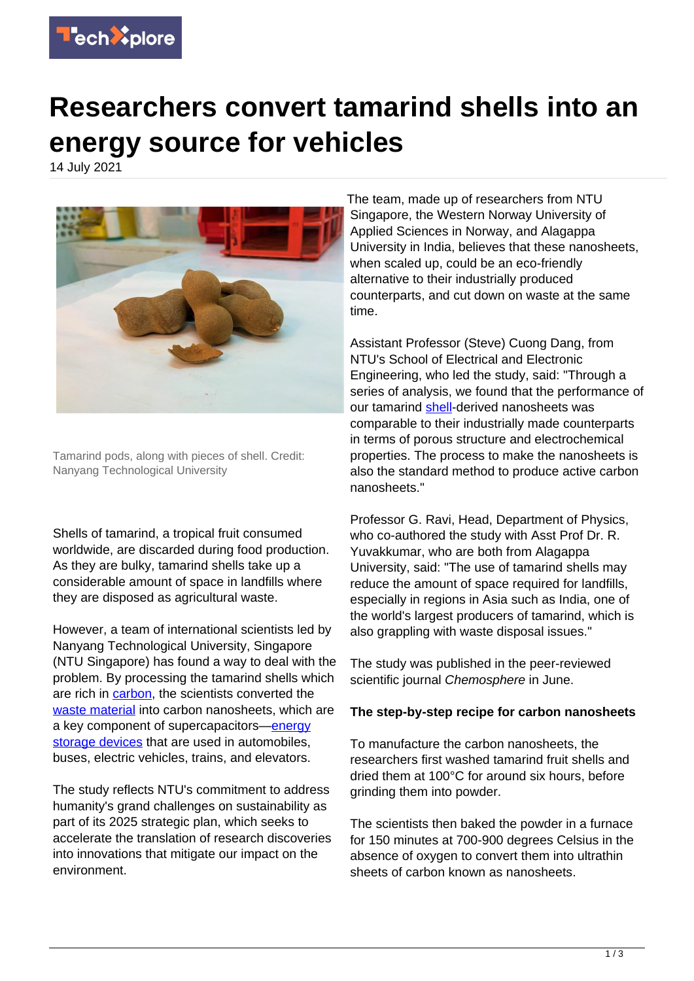

## **Researchers convert tamarind shells into an energy source for vehicles**

14 July 2021



Tamarind pods, along with pieces of shell. Credit: Nanyang Technological University

Shells of tamarind, a tropical fruit consumed worldwide, are discarded during food production. As they are bulky, tamarind shells take up a considerable amount of space in landfills where they are disposed as agricultural waste.

However, a team of international scientists led by Nanyang Technological University, Singapore (NTU Singapore) has found a way to deal with the problem. By processing the tamarind shells which are rich in [carbon](https://techxplore.com/tags/carbon/), the scientists converted the [waste material](https://techxplore.com/tags/waste+material/) into carbon nanosheets, which are a key component of supercapacitors[—energy](https://techxplore.com/tags/energy+storage+devices/) [storage devices](https://techxplore.com/tags/energy+storage+devices/) that are used in automobiles, buses, electric vehicles, trains, and elevators.

The study reflects NTU's commitment to address humanity's grand challenges on sustainability as part of its 2025 strategic plan, which seeks to accelerate the translation of research discoveries into innovations that mitigate our impact on the environment.

The team, made up of researchers from NTU Singapore, the Western Norway University of Applied Sciences in Norway, and Alagappa University in India, believes that these nanosheets, when scaled up, could be an eco-friendly alternative to their industrially produced counterparts, and cut down on waste at the same time.

Assistant Professor (Steve) Cuong Dang, from NTU's School of Electrical and Electronic Engineering, who led the study, said: "Through a series of analysis, we found that the performance of our tamarind [shell-](https://techxplore.com/tags/shell/)derived nanosheets was comparable to their industrially made counterparts in terms of porous structure and electrochemical properties. The process to make the nanosheets is also the standard method to produce active carbon nanosheets."

Professor G. Ravi, Head, Department of Physics, who co-authored the study with Asst Prof Dr. R. Yuvakkumar, who are both from Alagappa University, said: "The use of tamarind shells may reduce the amount of space required for landfills, especially in regions in Asia such as India, one of the world's largest producers of tamarind, which is also grappling with waste disposal issues."

The study was published in the peer-reviewed scientific journal Chemosphere in June.

## **The step-by-step recipe for carbon nanosheets**

To manufacture the carbon nanosheets, the researchers first washed tamarind fruit shells and dried them at 100°C for around six hours, before grinding them into powder.

The scientists then baked the powder in a furnace for 150 minutes at 700-900 degrees Celsius in the absence of oxygen to convert them into ultrathin sheets of carbon known as nanosheets.